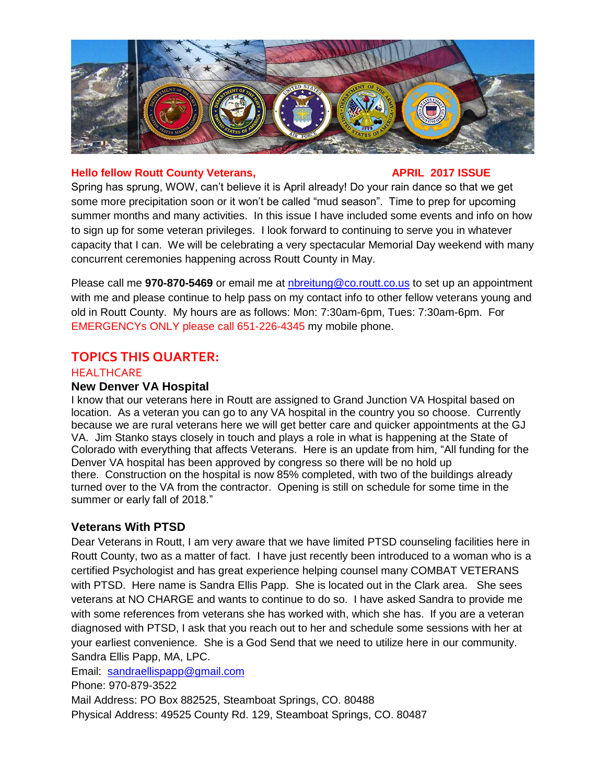

#### **Hello fellow Routt County Veterans, APRIL 2017 ISSUE**

Spring has sprung, WOW, can't believe it is April already! Do your rain dance so that we get some more precipitation soon or it won't be called "mud season". Time to prep for upcoming summer months and many activities. In this issue I have included some events and info on how to sign up for some veteran privileges. I look forward to continuing to serve you in whatever capacity that I can. We will be celebrating a very spectacular Memorial Day weekend with many concurrent ceremonies happening across Routt County in May.

Please call me **970-870-5469** or email me at [nbreitung@co.routt.co.us](mailto:nbreitung@co.routt.co.us) to set up an appointment with me and please continue to help pass on my contact info to other fellow veterans young and old in Routt County. My hours are as follows: Mon: 7:30am-6pm, Tues: 7:30am-6pm. For EMERGENCYs ONLY please call 651-226-4345 my mobile phone.

# **TOPICS THIS QUARTER:**

## **HEALTHCARE**

### **New Denver VA Hospital**

I know that our veterans here in Routt are assigned to Grand Junction VA Hospital based on location. As a veteran you can go to any VA hospital in the country you so choose. Currently because we are rural veterans here we will get better care and quicker appointments at the GJ VA. Jim Stanko stays closely in touch and plays a role in what is happening at the State of Colorado with everything that affects Veterans. Here is an update from him, "All funding for the Denver VA hospital has been approved by congress so there will be no hold up there. Construction on the hospital is now 85% completed, with two of the buildings already turned over to the VA from the contractor. Opening is still on schedule for some time in the summer or early fall of 2018."

# **Veterans With PTSD**

Dear Veterans in Routt, I am very aware that we have limited PTSD counseling facilities here in Routt County, two as a matter of fact. I have just recently been introduced to a woman who is a certified Psychologist and has great experience helping counsel many COMBAT VETERANS with PTSD. Here name is Sandra Ellis Papp. She is located out in the Clark area. She sees veterans at NO CHARGE and wants to continue to do so. I have asked Sandra to provide me with some references from veterans she has worked with, which she has. If you are a veteran diagnosed with PTSD, I ask that you reach out to her and schedule some sessions with her at your earliest convenience. She is a God Send that we need to utilize here in our community. Sandra Ellis Papp, MA, LPC.

Email: [sandraellispapp@gmail.com](mailto:sandraellispapp@gmail.com)

Phone: 970-879-3522

Mail Address: PO Box 882525, Steamboat Springs, CO. 80488 Physical Address: 49525 County Rd. 129, Steamboat Springs, CO. 80487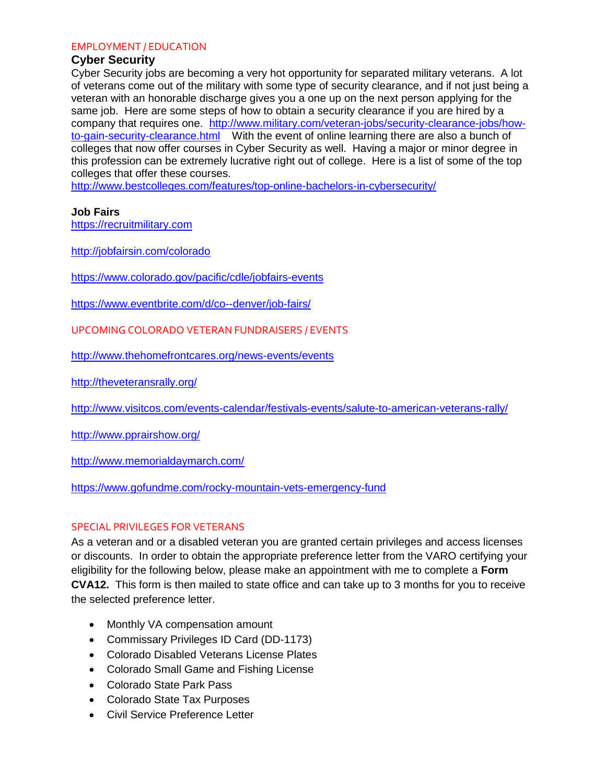#### EMPLOYMENT / EDUCATION

#### **Cyber Security**

Cyber Security jobs are becoming a very hot opportunity for separated military veterans. A lot of veterans come out of the military with some type of security clearance, and if not just being a veteran with an honorable discharge gives you a one up on the next person applying for the same job. Here are some steps of how to obtain a security clearance if you are hired by a company that requires one. [http://www.military.com/veteran-jobs/security-clearance-jobs/how](http://www.military.com/veteran-jobs/security-clearance-jobs/how-to-gain-security-clearance.html)[to-gain-security-clearance.html](http://www.military.com/veteran-jobs/security-clearance-jobs/how-to-gain-security-clearance.html) With the event of online learning there are also a bunch of colleges that now offer courses in Cyber Security as well. Having a major or minor degree in this profession can be extremely lucrative right out of college. Here is a list of some of the top colleges that offer these courses.

<http://www.bestcolleges.com/features/top-online-bachelors-in-cybersecurity/>

#### **Job Fairs**

[https://recruitmilitary.com](https://recruitmilitary.com/)

<http://jobfairsin.com/colorado>

<https://www.colorado.gov/pacific/cdle/jobfairs-events>

<https://www.eventbrite.com/d/co--denver/job-fairs/>

UPCOMING COLORADO VETERAN FUNDRAISERS / EVENTS

<http://www.thehomefrontcares.org/news-events/events>

<http://theveteransrally.org/>

<http://www.visitcos.com/events-calendar/festivals-events/salute-to-american-veterans-rally/>

<http://www.pprairshow.org/>

<http://www.memorialdaymarch.com/>

<https://www.gofundme.com/rocky-mountain-vets-emergency-fund>

### SPECIAL PRIVILEGES FOR VETERANS

As a veteran and or a disabled veteran you are granted certain privileges and access licenses or discounts. In order to obtain the appropriate preference letter from the VARO certifying your eligibility for the following below, please make an appointment with me to complete a **Form CVA12.** This form is then mailed to state office and can take up to 3 months for you to receive the selected preference letter.

- Monthly VA compensation amount
- Commissary Privileges ID Card (DD-1173)
- Colorado Disabled Veterans License Plates
- Colorado Small Game and Fishing License
- Colorado State Park Pass
- Colorado State Tax Purposes
- Civil Service Preference Letter